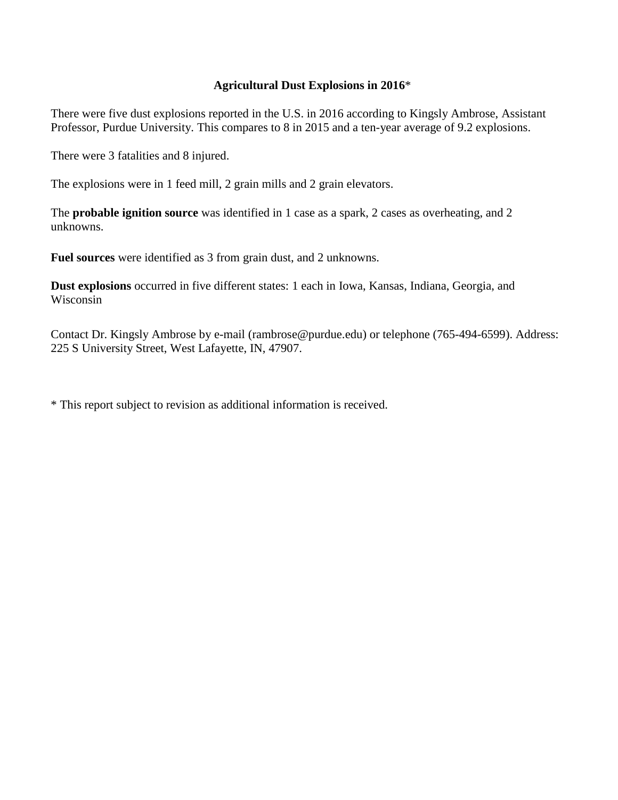## **Agricultural Dust Explosions in 2016**\*

There were five dust explosions reported in the U.S. in 2016 according to Kingsly Ambrose, Assistant Professor, Purdue University. This compares to 8 in 2015 and a ten-year average of 9.2 explosions.

There were 3 fatalities and 8 injured.

The explosions were in 1 feed mill, 2 grain mills and 2 grain elevators.

The **probable ignition source** was identified in 1 case as a spark, 2 cases as overheating, and 2 unknowns.

**Fuel sources** were identified as 3 from grain dust, and 2 unknowns.

**Dust explosions** occurred in five different states: 1 each in Iowa, Kansas, Indiana, Georgia, and Wisconsin

Contact Dr. Kingsly Ambrose by e-mail [\(rambrose@purdue.edu\)](mailto:kingsly@ksu.edu) or telephone (765-494-6599). Address: 225 S University Street, West Lafayette, IN, 47907.

\* This report subject to revision as additional information is received.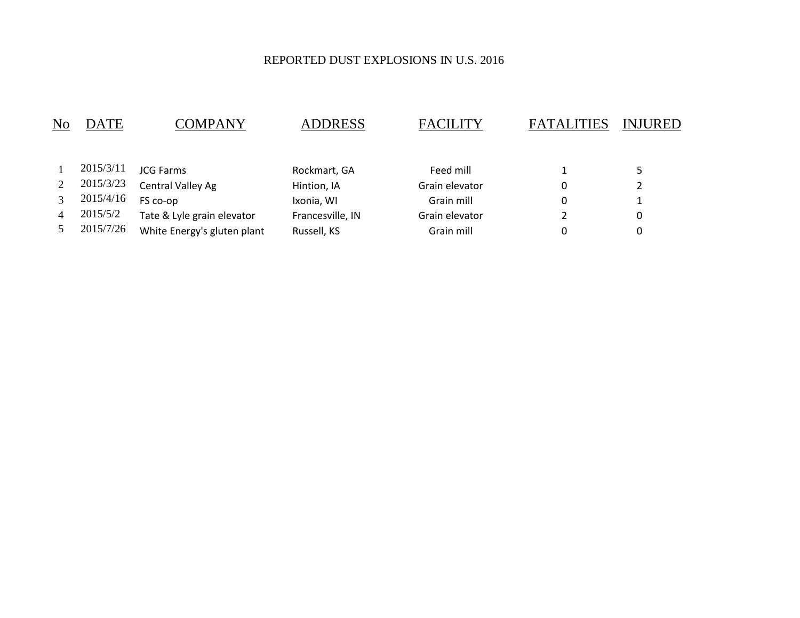## REPORTED DUST EXPLOSIONS IN U.S. 2016

| No | DATE      | COMPANY                     | <b>ADDRESS</b>   | <b>FACILITY</b> | <b>FATALITIES</b> | <b>INJURED</b> |
|----|-----------|-----------------------------|------------------|-----------------|-------------------|----------------|
|    |           |                             |                  |                 |                   |                |
|    | 2015/3/11 | <b>JCG Farms</b>            | Rockmart, GA     | Feed mill       |                   | 5              |
|    | 2015/3/23 | Central Valley Ag           | Hintion, IA      | Grain elevator  | 0                 | 2              |
|    | 2015/4/16 | FS co-op                    | Ixonia, WI       | Grain mill      | $\Omega$          |                |
| 4  | 2015/5/2  | Tate & Lyle grain elevator  | Francesville, IN | Grain elevator  |                   | 0              |
|    | 2015/7/26 | White Energy's gluten plant | Russell, KS      | Grain mill      | 0                 | 0              |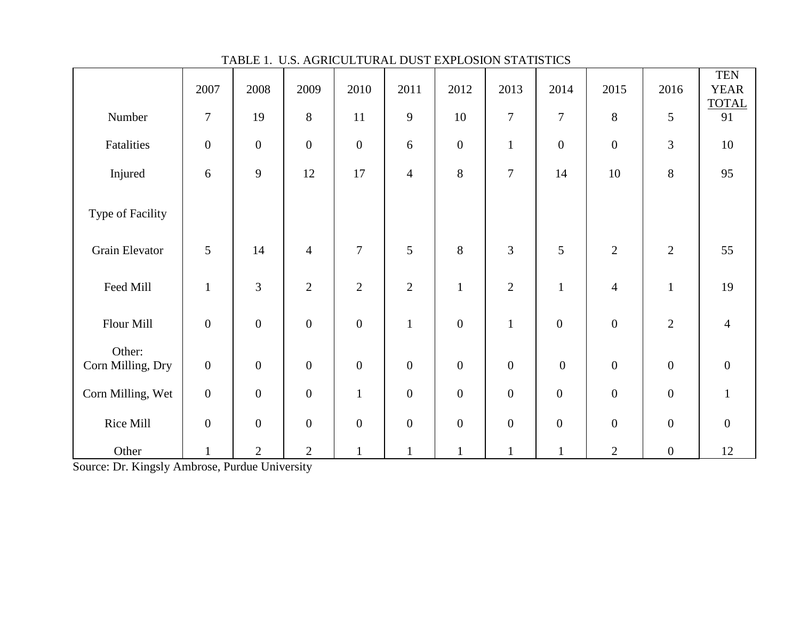|                             | 2007             | 2008           | 2009             | 2010             | 2011           | 2012             | 2013             | 2014             | 2015             | 2016             | <b>TEN</b><br><b>YEAR</b> |
|-----------------------------|------------------|----------------|------------------|------------------|----------------|------------------|------------------|------------------|------------------|------------------|---------------------------|
| Number                      | $\boldsymbol{7}$ | 19             | 8                | 11               | 9              | 10               | $\overline{7}$   | $\tau$           | $8\,$            | $\sqrt{5}$       | <b>TOTAL</b><br>91        |
| Fatalities                  | $\boldsymbol{0}$ | $\mathbf{0}$   | $\mathbf{0}$     | $\boldsymbol{0}$ | 6              | $\boldsymbol{0}$ | $\mathbf{1}$     | $\boldsymbol{0}$ | $\boldsymbol{0}$ | 3                | $10\,$                    |
| Injured                     | 6                | 9              | 12               | 17               | $\overline{4}$ | 8                | $\overline{7}$   | 14               | 10               | 8                | 95                        |
| Type of Facility            |                  |                |                  |                  |                |                  |                  |                  |                  |                  |                           |
| Grain Elevator              | 5                | 14             | $\overline{4}$   | $\overline{7}$   | 5              | 8                | 3                | 5                | $\overline{2}$   | $\overline{2}$   | 55                        |
| Feed Mill                   | $\mathbf{1}$     | 3              | $\overline{2}$   | $\sqrt{2}$       | $\overline{2}$ | $\mathbf{1}$     | $\sqrt{2}$       | $\mathbf{1}$     | $\overline{4}$   | $\mathbf{1}$     | 19                        |
| Flour Mill                  | $\overline{0}$   | $\mathbf{0}$   | $\mathbf{0}$     | $\boldsymbol{0}$ | $\mathbf{1}$   | $\boldsymbol{0}$ | $\mathbf{1}$     | $\overline{0}$   | $\boldsymbol{0}$ | $\overline{2}$   | $\overline{4}$            |
| Other:<br>Corn Milling, Dry | $\boldsymbol{0}$ | $\mathbf{0}$   | $\mathbf{0}$     | $\boldsymbol{0}$ | $\mathbf{0}$   | $\boldsymbol{0}$ | $\boldsymbol{0}$ | $\boldsymbol{0}$ | $\boldsymbol{0}$ | $\boldsymbol{0}$ | $\boldsymbol{0}$          |
| Corn Milling, Wet           | $\boldsymbol{0}$ | $\mathbf{0}$   | $\mathbf{0}$     | $\mathbf{1}$     | $\mathbf{0}$   | $\boldsymbol{0}$ | $\boldsymbol{0}$ | $\boldsymbol{0}$ | $\boldsymbol{0}$ | $\boldsymbol{0}$ | $\mathbf{1}$              |
| Rice Mill                   | $\overline{0}$   | $\mathbf{0}$   | $\boldsymbol{0}$ | $\boldsymbol{0}$ | $\mathbf{0}$   | $\boldsymbol{0}$ | $\boldsymbol{0}$ | $\mathbf{0}$     | $\boldsymbol{0}$ | $\boldsymbol{0}$ | $\boldsymbol{0}$          |
| Other                       | $\mathbf{1}$     | $\overline{2}$ | $\overline{2}$   | $\mathbf{1}$     | $\mathbf{1}$   | $\mathbf{1}$     | $\mathbf{1}$     | $\mathbf{1}$     | $\mathbf{2}$     | $\boldsymbol{0}$ | 12                        |

TABLE 1. U.S. AGRICULTURAL DUST EXPLOSION STATISTICS

Source: Dr. Kingsly Ambrose, Purdue University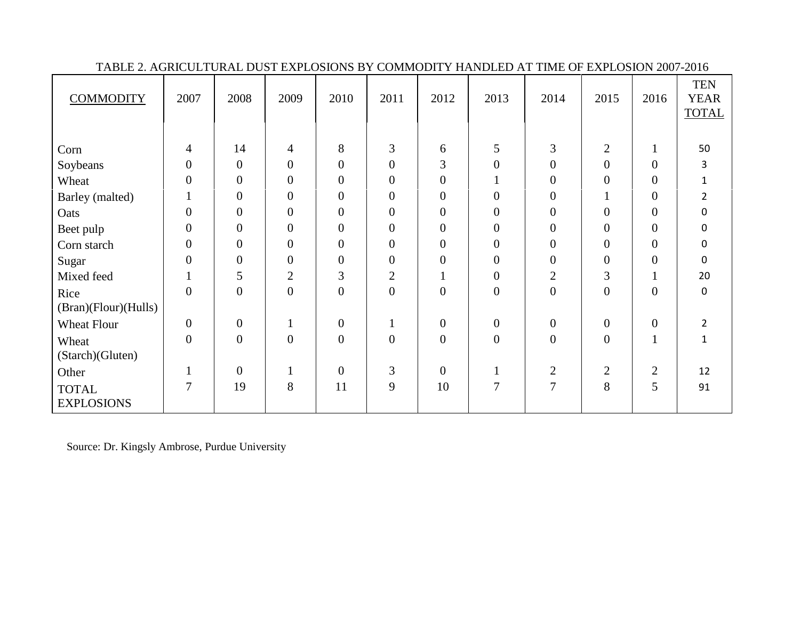| <b>COMMODITY</b>     | 2007             | 2008             | 2009             | 2010             | 2011             | 2012             | 2013             | 2014             | 2015             | 2016             | <b>TEN</b><br><b>YEAR</b><br><b>TOTAL</b> |
|----------------------|------------------|------------------|------------------|------------------|------------------|------------------|------------------|------------------|------------------|------------------|-------------------------------------------|
|                      |                  |                  |                  |                  |                  |                  |                  |                  |                  |                  |                                           |
| Corn                 | 4                | 14               | $\overline{4}$   | 8                | $\mathfrak{Z}$   | 6                | 5                | 3                | $\overline{2}$   | $\mathbf{1}$     | 50                                        |
| Soybeans             | $\boldsymbol{0}$ | $\boldsymbol{0}$ | $\boldsymbol{0}$ | $\overline{0}$   | $\overline{0}$   | $\overline{3}$   | $\overline{0}$   | $\boldsymbol{0}$ | $\boldsymbol{0}$ | $\overline{0}$   | 3                                         |
| Wheat                | $\overline{0}$   | $\boldsymbol{0}$ | $\boldsymbol{0}$ | $\overline{0}$   | $\overline{0}$   | $\overline{0}$   |                  | $\boldsymbol{0}$ | $\boldsymbol{0}$ | $\boldsymbol{0}$ | $\mathbf 1$                               |
| Barley (malted)      |                  | $\boldsymbol{0}$ | $\overline{0}$   | $\overline{0}$   | $\overline{0}$   | $\overline{0}$   | $\Omega$         | $\boldsymbol{0}$ |                  | $\overline{0}$   | $\overline{2}$                            |
| Oats                 | $\boldsymbol{0}$ | $\boldsymbol{0}$ | $\boldsymbol{0}$ | $\overline{0}$   | $\boldsymbol{0}$ | $\overline{0}$   | $\overline{0}$   | $\overline{0}$   | $\boldsymbol{0}$ | $\boldsymbol{0}$ | $\pmb{0}$                                 |
| Beet pulp            | $\overline{0}$   | $\boldsymbol{0}$ | $\boldsymbol{0}$ | $\overline{0}$   | $\overline{0}$   | $\overline{0}$   | $\overline{0}$   | $\boldsymbol{0}$ | $\overline{0}$   | $\boldsymbol{0}$ | $\pmb{0}$                                 |
| Corn starch          | $\boldsymbol{0}$ | $\boldsymbol{0}$ | $\boldsymbol{0}$ | $\mathbf{0}$     | $\boldsymbol{0}$ | $\overline{0}$   | $\boldsymbol{0}$ | $\overline{0}$   | $\boldsymbol{0}$ | $\boldsymbol{0}$ | 0                                         |
| Sugar                | $\overline{0}$   | $\boldsymbol{0}$ | $\boldsymbol{0}$ | $\overline{0}$   | $\boldsymbol{0}$ | $\overline{0}$   | $\overline{0}$   | $\overline{0}$   | $\boldsymbol{0}$ | $\boldsymbol{0}$ | $\mathbf 0$                               |
| Mixed feed           | $\mathbf{1}$     | 5                | $\mathbf{2}$     | $\overline{3}$   | $\overline{2}$   |                  | $\boldsymbol{0}$ | $\overline{2}$   | 3                | $\mathbf{I}$     | 20                                        |
| Rice                 | $\overline{0}$   | $\boldsymbol{0}$ | $\boldsymbol{0}$ | $\boldsymbol{0}$ | $\boldsymbol{0}$ | $\boldsymbol{0}$ | $\mathbf{0}$     | $\overline{0}$   | $\overline{0}$   | $\boldsymbol{0}$ | $\mathbf 0$                               |
| (Bran)(Flour)(Hulls) |                  |                  |                  |                  |                  |                  |                  |                  |                  |                  |                                           |
| <b>Wheat Flour</b>   | $\overline{0}$   | $\boldsymbol{0}$ | $\mathbf{1}$     | $\boldsymbol{0}$ |                  | $\mathbf{0}$     | $\overline{0}$   | $\overline{0}$   | $\boldsymbol{0}$ | $\boldsymbol{0}$ | $\overline{2}$                            |
| Wheat                | $\overline{0}$   | $\boldsymbol{0}$ | $\overline{0}$   | $\overline{0}$   | $\overline{0}$   | $\overline{0}$   | $\overline{0}$   | $\overline{0}$   | $\overline{0}$   | $\mathbf{1}$     | $\mathbf{1}$                              |
| (Starch)(Gluten)     |                  |                  |                  |                  |                  |                  |                  |                  |                  |                  |                                           |
| Other                |                  | $\boldsymbol{0}$ |                  | $\overline{0}$   | 3                | $\overline{0}$   |                  | $\overline{2}$   | $\overline{2}$   | $\overline{2}$   | 12                                        |
| <b>TOTAL</b>         | 7                | 19               | 8                | 11               | 9                | 10               | 7                | 7                | 8                | 5                | 91                                        |
| <b>EXPLOSIONS</b>    |                  |                  |                  |                  |                  |                  |                  |                  |                  |                  |                                           |

TABLE 2. AGRICULTURAL DUST EXPLOSIONS BY COMMODITY HANDLED AT TIME OF EXPLOSION 2007-2016

Source: Dr. Kingsly Ambrose, Purdue University